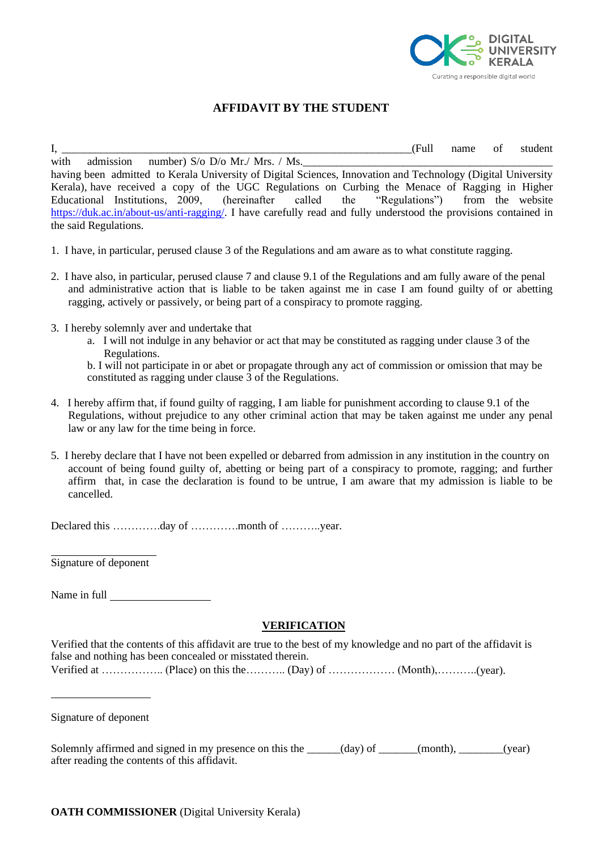

## **AFFIDAVIT BY THE STUDENT**

I, \_\_\_\_\_\_\_\_\_\_\_\_\_\_\_\_\_\_\_\_\_\_\_\_\_\_\_\_\_\_\_\_\_\_\_\_\_\_\_\_\_\_\_\_\_\_\_\_\_\_\_\_\_\_\_\_\_\_\_\_\_\_\_(Full name of student with admission number)  $S/\sigma$   $D/\sigma$   $Mr$ ./ Mrs. / Ms. having been admitted to Kerala University of Digital Sciences, Innovation and Technology (Digital University Kerala), have received a copy of the UGC Regulations on Curbing the Menace of Ragging in Higher Educational Institutions, 2009, (hereinafter called the "Regulations") from the website [https://duk.ac.in/about-us/anti-ragging/.](https://duk.ac.in/about-us/anti-ragging/) I have carefully read and fully understood the provisions contained in the said Regulations.

- 1. I have, in particular, perused clause 3 of the Regulations and am aware as to what constitute ragging.
- 2. I have also, in particular, perused clause 7 and clause 9.1 of the Regulations and am fully aware of the penal and administrative action that is liable to be taken against me in case I am found guilty of or abetting ragging, actively or passively, or being part of a conspiracy to promote ragging.
- 3. I hereby solemnly aver and undertake that
	- a. I will not indulge in any behavior or act that may be constituted as ragging under clause 3 of the Regulations.

b. I will not participate in or abet or propagate through any act of commission or omission that may be constituted as ragging under clause 3 of the Regulations.

- 4. I hereby affirm that, if found guilty of ragging, I am liable for punishment according to clause 9.1 of the Regulations, without prejudice to any other criminal action that may be taken against me under any penal law or any law for the time being in force.
- 5. I hereby declare that I have not been expelled or debarred from admission in any institution in the country on account of being found guilty of, abetting or being part of a conspiracy to promote, ragging; and further affirm that, in case the declaration is found to be untrue, I am aware that my admission is liable to be cancelled.

Declared this ………….day of ………….month of ………..year.

Signature of deponent

Name in full **Name** 

## **VERIFICATION**

Verified that the contents of this affidavit are true to the best of my knowledge and no part of the affidavit is false and nothing has been concealed or misstated therein. Verified at …………….. (Place) on this the……….. (Day) of ……………… (Month),………..(year).

Signature of deponent

Solemnly affirmed and signed in my presence on this the \_\_\_\_\_\_(day) of \_\_\_\_\_\_(month), \_\_\_\_\_\_(year) after reading the contents of this affidavit.

**OATH COMMISSIONER** (Digital University Kerala)